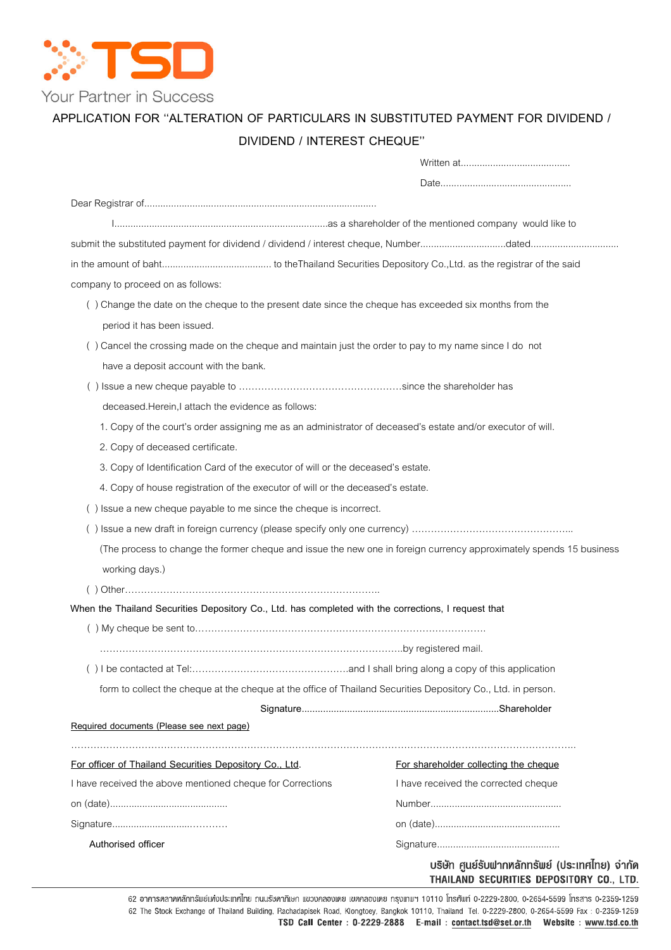

# APPLICATION FOR "ALTERATION OF PARTICULARS IN SUBSTITUTED PAYMENT FOR DIVIDEND /

# DIVIDEND / INTEREST CHEQUE

| company to proceed on as follows:                                                                                     |                                       |
|-----------------------------------------------------------------------------------------------------------------------|---------------------------------------|
| () Change the date on the cheque to the present date since the cheque has exceeded six months from the                |                                       |
| period it has been issued.                                                                                            |                                       |
| () Cancel the crossing made on the cheque and maintain just the order to pay to my name since I do not                |                                       |
| have a deposit account with the bank.                                                                                 |                                       |
|                                                                                                                       |                                       |
| deceased. Herein, I attach the evidence as follows:                                                                   |                                       |
| 1. Copy of the court's order assigning me as an administrator of deceased's estate and/or executor of will.           |                                       |
| 2. Copy of deceased certificate.                                                                                      |                                       |
| 3. Copy of Identification Card of the executor of will or the deceased's estate.                                      |                                       |
| 4. Copy of house registration of the executor of will or the deceased's estate.                                       |                                       |
| () Issue a new cheque payable to me since the cheque is incorrect.                                                    |                                       |
|                                                                                                                       |                                       |
| (The process to change the former cheque and issue the new one in foreign currency approximately spends 15 business   |                                       |
| working days.)                                                                                                        |                                       |
|                                                                                                                       |                                       |
| When the Thailand Securities Depository Co., Ltd. has completed with the corrections, I request that                  |                                       |
|                                                                                                                       |                                       |
|                                                                                                                       |                                       |
|                                                                                                                       |                                       |
| form to collect the cheque at the cheque at the office of Thailand Securities Depository Co., Ltd. in person.         |                                       |
|                                                                                                                       |                                       |
| Required documents (Please see next page)                                                                             |                                       |
|                                                                                                                       |                                       |
|                                                                                                                       | For shareholder collecting the cheque |
|                                                                                                                       | I have received the corrected cheque  |
|                                                                                                                       |                                       |
| For officer of Thailand Securities Depository Co., Ltd.<br>I have received the above mentioned cheque for Corrections |                                       |

ากัด THAILAND SECURITIES DEPOSITORY CO., LTD.

62 อาคารตลาดหลักทรัพย์แห่งประเทศไทย ถนนรัชคากิเษก แขวงคลองเตย เขตคลองเตย กรุงเทพฯ 10110 โทรศัพท์ 0-2229-2800, 0-2654-5599 โทรสาร 0-2359-1259 62 The Stock Exchange of Thailand Building, Rachadapisek Road, Klongtoey, Bangkok 10110, Thailand Tel. 0-2229-2800, 0-2654-5599 Fax: 0-2359-1259 TSD Call Center : 0-2229-2888 E-mail : contact.tsd@set.or.th Website : www.tsd.co.th